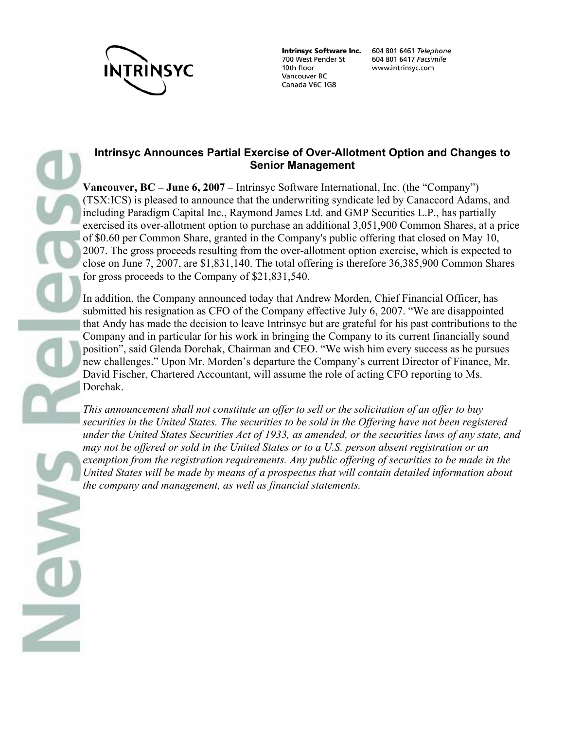

**Intrinsyc Software Inc.** 700 West Pender St 10th floor Vancouver BC Canada V6C 1G8

604 801 6461 Telephone 604 801 6417 Facsimile www.intrinsyc.com

# **Intrinsyc Announces Partial Exercise of Over-Allotment Option and Changes to Senior Management**

**Vancouver, BC – June 6, 2007 –** Intrinsyc Software International, Inc. (the "Company") (TSX:ICS) is pleased to announce that the underwriting syndicate led by Canaccord Adams, and including Paradigm Capital Inc., Raymond James Ltd. and GMP Securities L.P., has partially exercised its over-allotment option to purchase an additional 3,051,900 Common Shares, at a price of \$0.60 per Common Share, granted in the Company's public offering that closed on May 10, 2007. The gross proceeds resulting from the over-allotment option exercise, which is expected to close on June 7, 2007, are \$1,831,140. The total offering is therefore 36,385,900 Common Shares for gross proceeds to the Company of \$21,831,540.

In addition, the Company announced today that Andrew Morden, Chief Financial Officer, has submitted his resignation as CFO of the Company effective July 6, 2007. "We are disappointed that Andy has made the decision to leave Intrinsyc but are grateful for his past contributions to the Company and in particular for his work in bringing the Company to its current financially sound position", said Glenda Dorchak, Chairman and CEO. "We wish him every success as he pursues new challenges." Upon Mr. Morden's departure the Company's current Director of Finance, Mr. David Fischer, Chartered Accountant, will assume the role of acting CFO reporting to Ms. Dorchak.

*This announcement shall not constitute an offer to sell or the solicitation of an offer to buy securities in the United States. The securities to be sold in the Offering have not been registered under the United States Securities Act of 1933, as amended, or the securities laws of any state, and may not be offered or sold in the United States or to a U.S. person absent registration or an exemption from the registration requirements. Any public offering of securities to be made in the United States will be made by means of a prospectus that will contain detailed information about the company and management, as well as financial statements.*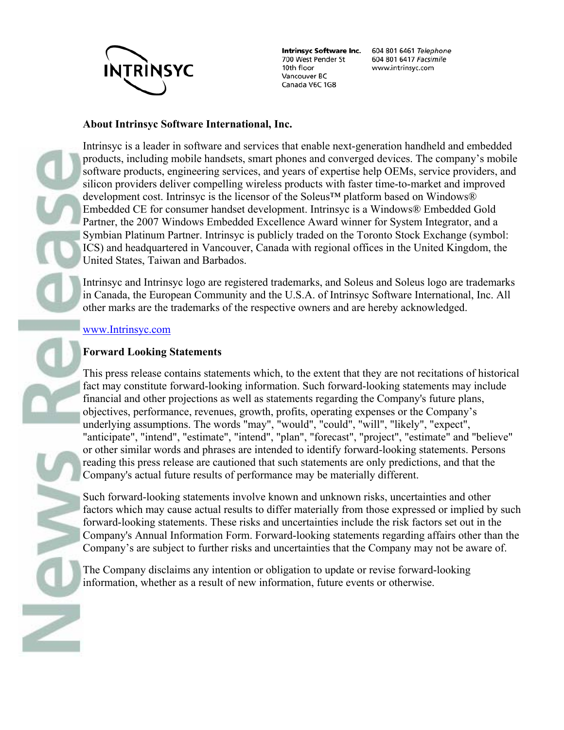

**Intrinsyc Software Inc.** 700 West Pender St 10th floor Vancouver BC Canada V6C 1G8

604 801 6461 Telephone 604 801 6417 Facsimile www.intrinsyc.com

### **About Intrinsyc Software International, Inc.**

Intrinsyc is a leader in software and services that enable next-generation handheld and embedded products, including mobile handsets, smart phones and converged devices. The company's mobile software products, engineering services, and years of expertise help OEMs, service providers, and silicon providers deliver compelling wireless products with faster time-to-market and improved development cost. Intrinsyc is the licensor of the Soleus™ platform based on Windows® Embedded CE for consumer handset development. Intrinsyc is a Windows® Embedded Gold Partner, the 2007 Windows Embedded Excellence Award winner for System Integrator, and a Symbian Platinum Partner. Intrinsyc is publicly traded on the Toronto Stock Exchange (symbol: ICS) and headquartered in Vancouver, Canada with regional offices in the United Kingdom, the United States, Taiwan and Barbados.

Intrinsyc and Intrinsyc logo are registered trademarks, and Soleus and Soleus logo are trademarks in Canada, the European Community and the U.S.A. of Intrinsyc Software International, Inc. All other marks are the trademarks of the respective owners and are hereby acknowledged.

### www.Intrinsyc.com

### **Forward Looking Statements**

This press release contains statements which, to the extent that they are not recitations of historical fact may constitute forward-looking information. Such forward-looking statements may include financial and other projections as well as statements regarding the Company's future plans, objectives, performance, revenues, growth, profits, operating expenses or the Company's underlying assumptions. The words "may", "would", "could", "will", "likely", "expect", "anticipate", "intend", "estimate", "intend", "plan", "forecast", "project", "estimate" and "believe" or other similar words and phrases are intended to identify forward-looking statements. Persons reading this press release are cautioned that such statements are only predictions, and that the Company's actual future results of performance may be materially different.

Such forward-looking statements involve known and unknown risks, uncertainties and other factors which may cause actual results to differ materially from those expressed or implied by such forward-looking statements. These risks and uncertainties include the risk factors set out in the Company's Annual Information Form. Forward-looking statements regarding affairs other than the Company's are subject to further risks and uncertainties that the Company may not be aware of.

The Company disclaims any intention or obligation to update or revise forward-looking information, whether as a result of new information, future events or otherwise.